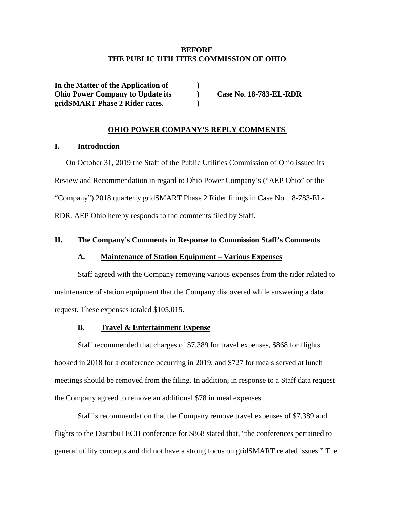# **BEFORE THE PUBLIC UTILITIES COMMISSION OF OHIO**

**In the Matter of the Application of ) Ohio Power Company to Update its ) Case No. 18-783-EL-RDR gridSMART Phase 2 Rider rates. )**

# **OHIO POWER COMPANY'S REPLY COMMENTS**

## **I. Introduction**

On October 31, 2019 the Staff of the Public Utilities Commission of Ohio issued its Review and Recommendation in regard to Ohio Power Company's ("AEP Ohio" or the "Company") 2018 quarterly gridSMART Phase 2 Rider filings in Case No. 18-783-EL-RDR. AEP Ohio hereby responds to the comments filed by Staff.

## **II. The Company's Comments in Response to Commission Staff's Comments**

## **A. Maintenance of Station Equipment – Various Expenses**

Staff agreed with the Company removing various expenses from the rider related to maintenance of station equipment that the Company discovered while answering a data request. These expenses totaled \$105,015.

# **B. Travel & Entertainment Expense**

Staff recommended that charges of \$7,389 for travel expenses, \$868 for flights booked in 2018 for a conference occurring in 2019, and \$727 for meals served at lunch meetings should be removed from the filing. In addition, in response to a Staff data request the Company agreed to remove an additional \$78 in meal expenses.

Staff's recommendation that the Company remove travel expenses of \$7,389 and flights to the DistribuTECH conference for \$868 stated that, "the conferences pertained to general utility concepts and did not have a strong focus on gridSMART related issues." The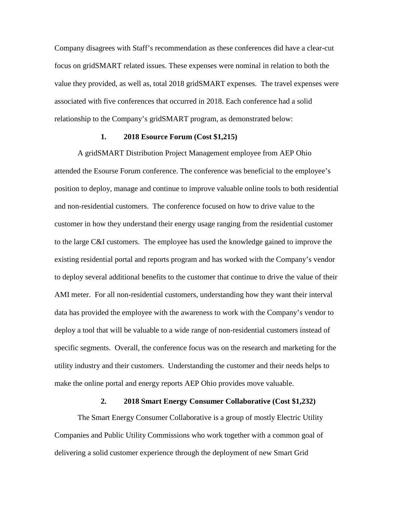Company disagrees with Staff's recommendation as these conferences did have a clear-cut focus on gridSMART related issues. These expenses were nominal in relation to both the value they provided, as well as, total 2018 gridSMART expenses. The travel expenses were associated with five conferences that occurred in 2018. Each conference had a solid relationship to the Company's gridSMART program, as demonstrated below:

### **1. 2018 Esource Forum (Cost \$1,215)**

A gridSMART Distribution Project Management employee from AEP Ohio attended the Esourse Forum conference. The conference was beneficial to the employee's position to deploy, manage and continue to improve valuable online tools to both residential and non-residential customers. The conference focused on how to drive value to the customer in how they understand their energy usage ranging from the residential customer to the large C&I customers. The employee has used the knowledge gained to improve the existing residential portal and reports program and has worked with the Company's vendor to deploy several additional benefits to the customer that continue to drive the value of their AMI meter. For all non-residential customers, understanding how they want their interval data has provided the employee with the awareness to work with the Company's vendor to deploy a tool that will be valuable to a wide range of non-residential customers instead of specific segments. Overall, the conference focus was on the research and marketing for the utility industry and their customers. Understanding the customer and their needs helps to make the online portal and energy reports AEP Ohio provides move valuable.

#### **2. 2018 Smart Energy Consumer Collaborative (Cost \$1,232)**

The Smart Energy Consumer Collaborative is a group of mostly Electric Utility Companies and Public Utility Commissions who work together with a common goal of delivering a solid customer experience through the deployment of new Smart Grid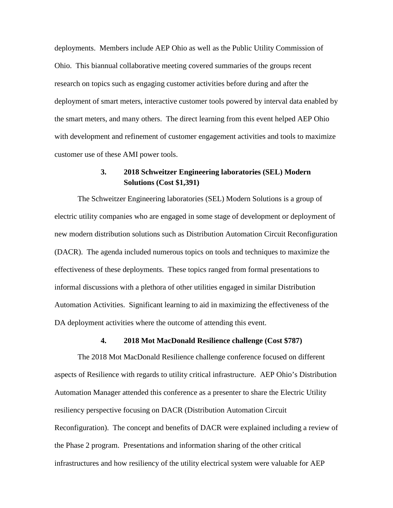deployments. Members include AEP Ohio as well as the Public Utility Commission of Ohio. This biannual collaborative meeting covered summaries of the groups recent research on topics such as engaging customer activities before during and after the deployment of smart meters, interactive customer tools powered by interval data enabled by the smart meters, and many others. The direct learning from this event helped AEP Ohio with development and refinement of customer engagement activities and tools to maximize customer use of these AMI power tools.

# **3. 2018 Schweitzer Engineering laboratories (SEL) Modern Solutions (Cost \$1,391)**

The Schweitzer Engineering laboratories (SEL) Modern Solutions is a group of electric utility companies who are engaged in some stage of development or deployment of new modern distribution solutions such as Distribution Automation Circuit Reconfiguration (DACR). The agenda included numerous topics on tools and techniques to maximize the effectiveness of these deployments. These topics ranged from formal presentations to informal discussions with a plethora of other utilities engaged in similar Distribution Automation Activities. Significant learning to aid in maximizing the effectiveness of the DA deployment activities where the outcome of attending this event.

### **4. 2018 Mot MacDonald Resilience challenge (Cost \$787)**

The 2018 Mot MacDonald Resilience challenge conference focused on different aspects of Resilience with regards to utility critical infrastructure. AEP Ohio's Distribution Automation Manager attended this conference as a presenter to share the Electric Utility resiliency perspective focusing on DACR (Distribution Automation Circuit Reconfiguration). The concept and benefits of DACR were explained including a review of the Phase 2 program. Presentations and information sharing of the other critical infrastructures and how resiliency of the utility electrical system were valuable for AEP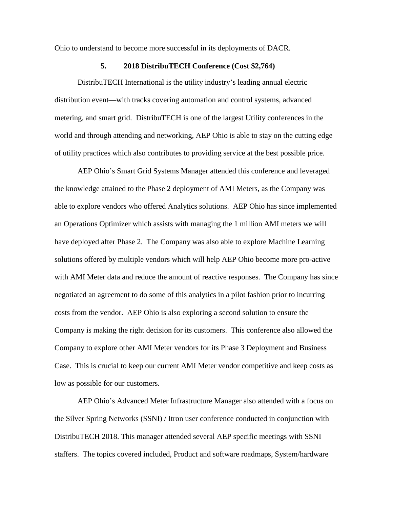Ohio to understand to become more successful in its deployments of DACR.

#### **5. 2018 DistribuTECH Conference (Cost \$2,764)**

DistribuTECH International is the utility industry's leading annual electric distribution event—with tracks covering automation and control systems, advanced metering, and smart grid. DistribuTECH is one of the largest Utility conferences in the world and through attending and networking, AEP Ohio is able to stay on the cutting edge of utility practices which also contributes to providing service at the best possible price.

AEP Ohio's Smart Grid Systems Manager attended this conference and leveraged the knowledge attained to the Phase 2 deployment of AMI Meters, as the Company was able to explore vendors who offered Analytics solutions. AEP Ohio has since implemented an Operations Optimizer which assists with managing the 1 million AMI meters we will have deployed after Phase 2. The Company was also able to explore Machine Learning solutions offered by multiple vendors which will help AEP Ohio become more pro-active with AMI Meter data and reduce the amount of reactive responses. The Company has since negotiated an agreement to do some of this analytics in a pilot fashion prior to incurring costs from the vendor. AEP Ohio is also exploring a second solution to ensure the Company is making the right decision for its customers. This conference also allowed the Company to explore other AMI Meter vendors for its Phase 3 Deployment and Business Case. This is crucial to keep our current AMI Meter vendor competitive and keep costs as low as possible for our customers.

AEP Ohio's Advanced Meter Infrastructure Manager also attended with a focus on the Silver Spring Networks (SSNI) / Itron user conference conducted in conjunction with DistribuTECH 2018. This manager attended several AEP specific meetings with SSNI staffers. The topics covered included, Product and software roadmaps, System/hardware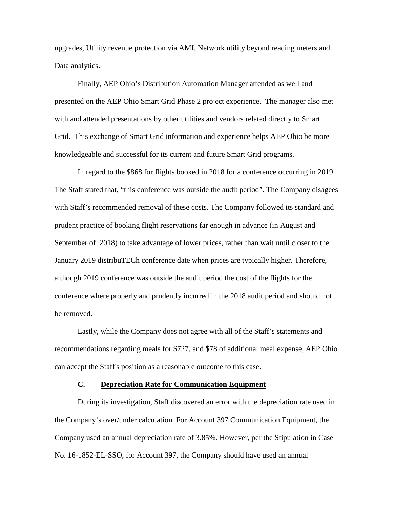upgrades, Utility revenue protection via AMI, Network utility beyond reading meters and Data analytics.

Finally, AEP Ohio's Distribution Automation Manager attended as well and presented on the AEP Ohio Smart Grid Phase 2 project experience. The manager also met with and attended presentations by other utilities and vendors related directly to Smart Grid. This exchange of Smart Grid information and experience helps AEP Ohio be more knowledgeable and successful for its current and future Smart Grid programs.

In regard to the \$868 for flights booked in 2018 for a conference occurring in 2019. The Staff stated that, "this conference was outside the audit period". The Company disagees with Staff's recommended removal of these costs. The Company followed its standard and prudent practice of booking flight reservations far enough in advance (in August and September of 2018) to take advantage of lower prices, rather than wait until closer to the January 2019 distribuTECh conference date when prices are typically higher. Therefore, although 2019 conference was outside the audit period the cost of the flights for the conference where properly and prudently incurred in the 2018 audit period and should not be removed.

Lastly, while the Company does not agree with all of the Staff's statements and recommendations regarding meals for \$727, and \$78 of additional meal expense, AEP Ohio can accept the Staff's position as a reasonable outcome to this case.

## **C. Depreciation Rate for Communication Equipment**

During its investigation, Staff discovered an error with the depreciation rate used in the Company's over/under calculation. For Account 397 Communication Equipment, the Company used an annual depreciation rate of 3.85%. However, per the Stipulation in Case No. 16-1852-EL-SSO, for Account 397, the Company should have used an annual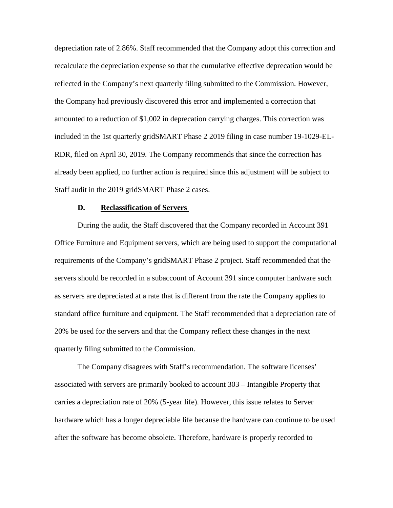depreciation rate of 2.86%. Staff recommended that the Company adopt this correction and recalculate the depreciation expense so that the cumulative effective deprecation would be reflected in the Company's next quarterly filing submitted to the Commission. However, the Company had previously discovered this error and implemented a correction that amounted to a reduction of \$1,002 in deprecation carrying charges. This correction was included in the 1st quarterly gridSMART Phase 2 2019 filing in case number 19-1029-EL-RDR, filed on April 30, 2019. The Company recommends that since the correction has already been applied, no further action is required since this adjustment will be subject to Staff audit in the 2019 gridSMART Phase 2 cases.

#### **D. Reclassification of Servers**

During the audit, the Staff discovered that the Company recorded in Account 391 Office Furniture and Equipment servers, which are being used to support the computational requirements of the Company's gridSMART Phase 2 project. Staff recommended that the servers should be recorded in a subaccount of Account 391 since computer hardware such as servers are depreciated at a rate that is different from the rate the Company applies to standard office furniture and equipment. The Staff recommended that a depreciation rate of 20% be used for the servers and that the Company reflect these changes in the next quarterly filing submitted to the Commission.

The Company disagrees with Staff's recommendation. The software licenses' associated with servers are primarily booked to account 303 – Intangible Property that carries a depreciation rate of 20% (5-year life). However, this issue relates to Server hardware which has a longer depreciable life because the hardware can continue to be used after the software has become obsolete. Therefore, hardware is properly recorded to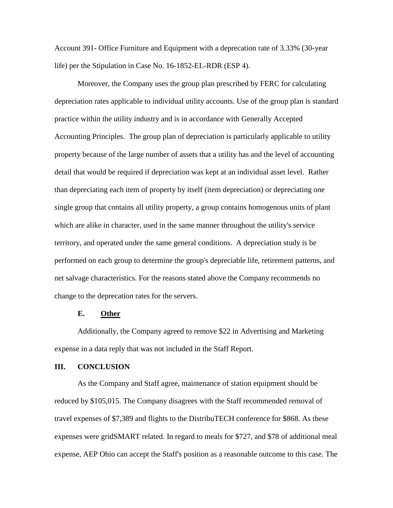Account 391- Office Furniture and Equipment with a deprecation rate of 3.33% (30-year life) per the Stipulation in Case No. 16-1852-EL-RDR (ESP 4).

Moreover, the Company uses the group plan prescribed by FERC for calculating depreciation rates applicable to individual utility accounts. Use of the group plan is standard practice within the utility industry and is in accordance with Generally Accepted Accounting Principles. The group plan of depreciation is particularly applicable to utility property because of the large number of assets that a utility has and the level of accounting detail that would be required if depreciation was kept at an individual asset level. Rather than depreciating each item of property by itself (item depreciation) or depreciating one single group that contains all utility property, a group contains homogenous units of plant which are alike in character, used in the same manner throughout the utility's service territory, and operated under the same general conditions. A depreciation study is be performed on each group to determine the group's depreciable life, retirement patterns, and net salvage characteristics. For the reasons stated above the Company recommends no change to the deprecation rates for the servers.

## **E. Other**

Additionally, the Company agreed to remove \$22 in Advertising and Marketing expense in a data reply that was not included in the Staff Report.

## **III. CONCLUSION**

As the Company and Staff agree, maintenance of station equipment should be reduced by \$105,015. The Company disagrees with the Staff recommended removal of travel expenses of \$7,389 and flights to the DistribuTECH conference for \$868. As these expenses were gridSMART related. In regard to meals for \$727, and \$78 of additional meal expense, AEP Ohio can accept the Staff's position as a reasonable outcome to this case. The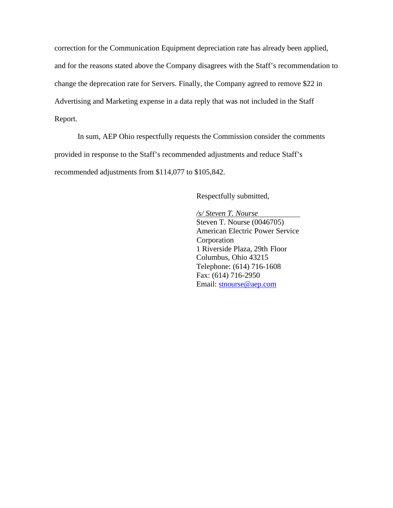correction for the Communication Equipment depreciation rate has already been applied, and for the reasons stated above the Company disagrees with the Staff's recommendation to change the deprecation rate for Servers. Finally, the Company agreed to remove \$22 in Advertising and Marketing expense in a data reply that was not included in the Staff Report.

In sum, AEP Ohio respectfully requests the Commission consider the comments provided in response to the Staff's recommended adjustments and reduce Staff's recommended adjustments from \$114,077 to \$105,842.

Respectfully submitted,

*/s/ Steven T. Nourse* Steven T. Nourse (0046705) American Electric Power Service Corporation 1 Riverside Plaza, 29th Floor Columbus, Ohio 43215 Telephone: (614) 716-1608 Fax: (614) 716-2950 E[mail: stnourse@aep.com](mailto:stnourse@aep.com)